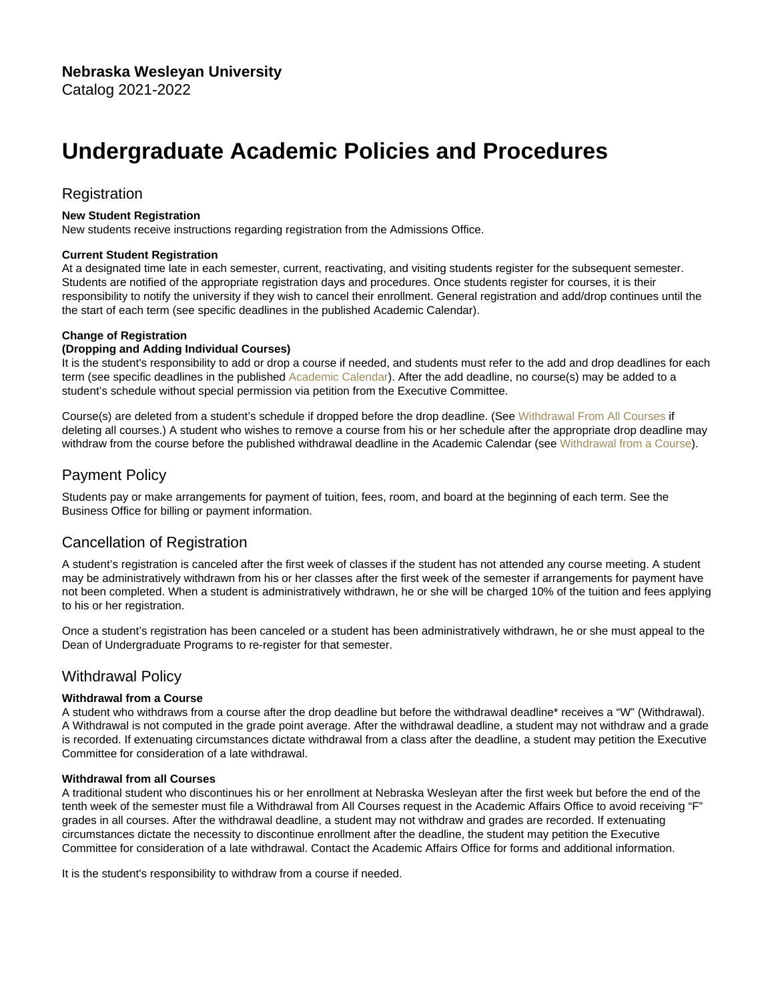# Undergraduate Academic Policies and Procedures

# **Registration**

New Student Registration

New students receive instructions regarding registration from the Admissions Office.

### Current Student Registration

At a designated time late in each semester, current, reactivating, and visiting students register for the subsequent semester. Students are notified of the appropriate registration days and procedures. Once students register for courses, it is their responsibility to notify the university if they wish to cancel their enrollment. General registration and add/drop continues until the the start of each term (see specific deadlines in the published Academic Calendar).

### Change of Registration

#### (Dropping and Adding Individual Courses)

It is the student's responsibility to add or drop a course if needed, and students must refer to the add and drop deadlines for each term (see specific deadlines in the published [Academic Calendar](https://www.nebrwesleyan.edu/inside-nwu/registrars-office/academic-calendars)). After the add deadline, no course(s) may be added to a student's schedule without special permission via petition from the Executive Committee.

Course(s) are deleted from a student's schedule if dropped before the drop deadline. (See Withdrawal From All Courses if deleting all courses.) A student who wishes to remove a course from his or her schedule after the appropriate drop deadline may withdraw from the course before the published withdrawal deadline in the Academic Calendar (see Withdrawal from a Course).

### Payment Policy

Students pay or make arrangements for payment of tuition, fees, room, and board at the beginning of each term. See the Business Office for billing or payment information.

### Cancellation of Registration

A student's registration is canceled after the first week of classes if the student has not attended any course meeting. A student may be administratively withdrawn from his or her classes after the first week of the semester if arrangements for payment have not been completed. When a student is administratively withdrawn, he or she will be charged 10% of the tuition and fees applying to his or her registration.

Once a student's registration has been canceled or a student has been administratively withdrawn, he or she must appeal to the Dean of Undergraduate Programs to re-register for that semester.

### Withdrawal Policy

### Withdrawal from a Course

A student who withdraws from a course after the drop deadline but before the withdrawal deadline\* receives a "W" (Withdrawal). A Withdrawal is not computed in the grade point average. After the withdrawal deadline, a student may not withdraw and a grade is recorded. If extenuating circumstances dictate withdrawal from a class after the deadline, a student may petition the Executive Committee for consideration of a late withdrawal.

#### Withdrawal from all Courses

A traditional student who discontinues his or her enrollment at Nebraska Wesleyan after the first week but before the end of the tenth week of the semester must file a Withdrawal from All Courses request in the Academic Affairs Office to avoid receiving "F" grades in all courses. After the withdrawal deadline, a student may not withdraw and grades are recorded. If extenuating circumstances dictate the necessity to discontinue enrollment after the deadline, the student may petition the Executive Committee for consideration of a late withdrawal. Contact the Academic Affairs Office for forms and additional information.

It is the student's responsibility to withdraw from a course if needed.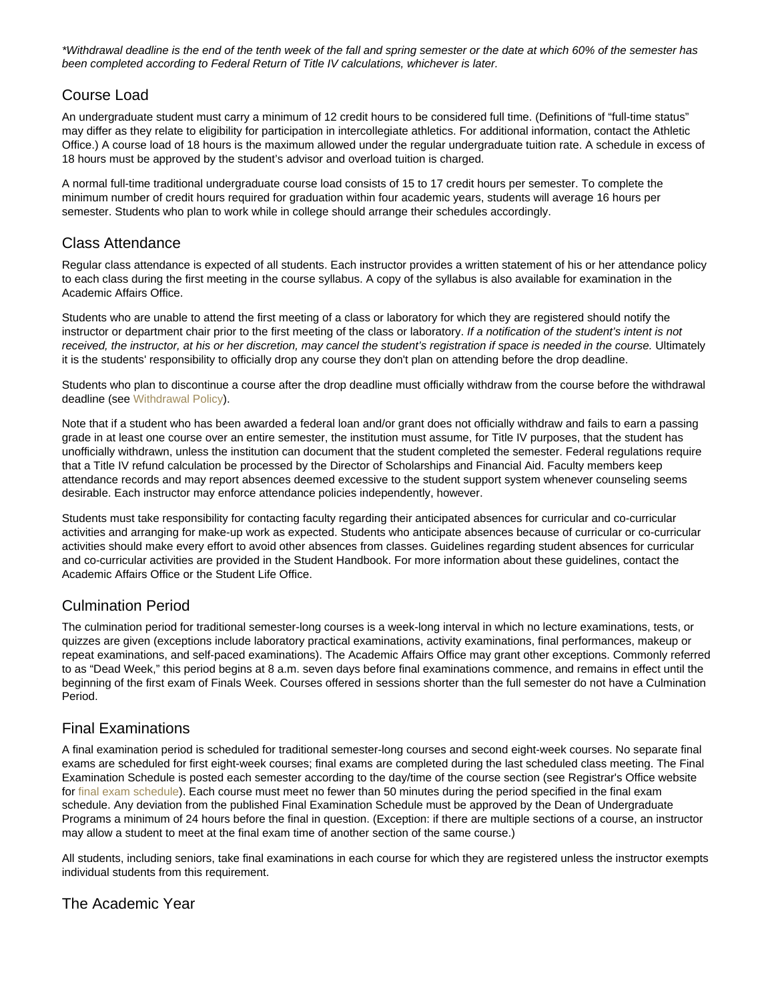\*Withdrawal deadline is the end of the tenth week of the fall and spring semester or the date at which 60% of the semester has been completed according to Federal Return of Title IV calculations, whichever is later.

# Course Load

An undergraduate student must carry a minimum of 12 credit hours to be considered full time. (Definitions of "full-time status" may differ as they relate to eligibility for participation in intercollegiate athletics. For additional information, contact the Athletic Office.) A course load of 18 hours is the maximum allowed under the regular undergraduate tuition rate. A schedule in excess of 18 hours must be approved by the student's advisor and overload tuition is charged.

A normal full-time traditional undergraduate course load consists of 15 to 17 credit hours per semester. To complete the minimum number of credit hours required for graduation within four academic years, students will average 16 hours per semester. Students who plan to work while in college should arrange their schedules accordingly.

### Class Attendance

Regular class attendance is expected of all students. Each instructor provides a written statement of his or her attendance policy to each class during the first meeting in the course syllabus. A copy of the syllabus is also available for examination in the Academic Affairs Office.

Students who are unable to attend the first meeting of a class or laboratory for which they are registered should notify the instructor or department chair prior to the first meeting of the class or laboratory. If a notification of the student's intent is not received, the instructor, at his or her discretion, may cancel the student's registration if space is needed in the course. Ultimately it is the students' responsibility to officially drop any course they don't plan on attending before the drop deadline.

Students who plan to discontinue a course after the drop deadline must officially withdraw from the course before the withdrawal deadline (see Withdrawal Policy).

Note that if a student who has been awarded a federal loan and/or grant does not officially withdraw and fails to earn a passing grade in at least one course over an entire semester, the institution must assume, for Title IV purposes, that the student has unofficially withdrawn, unless the institution can document that the student completed the semester. Federal regulations require that a Title IV refund calculation be processed by the Director of Scholarships and Financial Aid. Faculty members keep attendance records and may report absences deemed excessive to the student support system whenever counseling seems desirable. Each instructor may enforce attendance policies independently, however.

Students must take responsibility for contacting faculty regarding their anticipated absences for curricular and co-curricular activities and arranging for make-up work as expected. Students who anticipate absences because of curricular or co-curricular activities should make every effort to avoid other absences from classes. Guidelines regarding student absences for curricular and co-curricular activities are provided in the Student Handbook. For more information about these guidelines, contact the Academic Affairs Office or the Student Life Office.

### Culmination Period

The culmination period for traditional semester-long courses is a week-long interval in which no lecture examinations, tests, or quizzes are given (exceptions include laboratory practical examinations, activity examinations, final performances, makeup or repeat examinations, and self-paced examinations). The Academic Affairs Office may grant other exceptions. Commonly referred to as "Dead Week," this period begins at 8 a.m. seven days before final examinations commence, and remains in effect until the beginning of the first exam of Finals Week. Courses offered in sessions shorter than the full semester do not have a Culmination Period.

# Final Examinations

A final examination period is scheduled for traditional semester-long courses and second eight-week courses. No separate final exams are scheduled for first eight-week courses; final exams are completed during the last scheduled class meeting. The Final Examination Schedule is posted each semester according to the day/time of the course section (see Registrar's Office website for [final exam schedule\)](https://www.nebrwesleyan.edu/inside-nwu/registrars-office/final-schedule). Each course must meet no fewer than 50 minutes during the period specified in the final exam schedule. Any deviation from the published Final Examination Schedule must be approved by the Dean of Undergraduate Programs a minimum of 24 hours before the final in question. (Exception: if there are multiple sections of a course, an instructor may allow a student to meet at the final exam time of another section of the same course.)

All students, including seniors, take final examinations in each course for which they are registered unless the instructor exempts individual students from this requirement.

### The Academic Year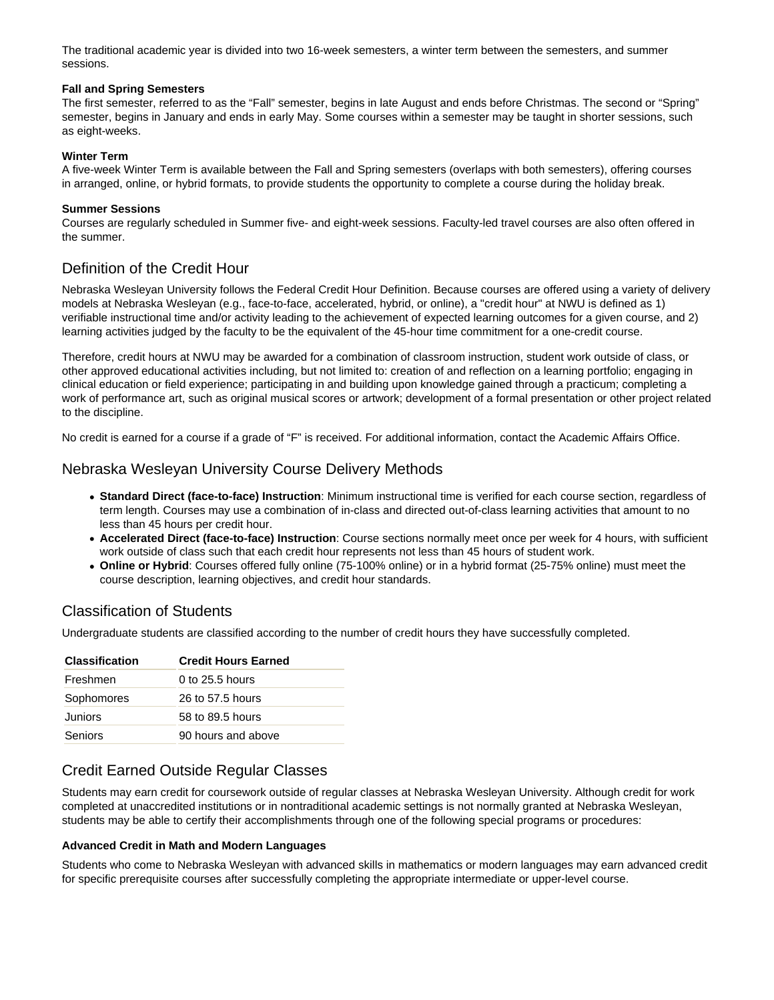The traditional academic year is divided into two 16-week semesters, a winter term between the semesters, and summer sessions.

#### **Fall and Spring Semesters**

The first semester, referred to as the "Fall" semester, begins in late August and ends before Christmas. The second or "Spring" semester, begins in January and ends in early May. Some courses within a semester may be taught in shorter sessions, such as eight-weeks.

#### **Winter Term**

A five-week Winter Term is available between the Fall and Spring semesters (overlaps with both semesters), offering courses in arranged, online, or hybrid formats, to provide students the opportunity to complete a course during the holiday break.

#### **Summer Sessions**

Courses are regularly scheduled in Summer five- and eight-week sessions. Faculty-led travel courses are also often offered in the summer.

### Definition of the Credit Hour

Nebraska Wesleyan University follows the Federal Credit Hour Definition. Because courses are offered using a variety of delivery models at Nebraska Wesleyan (e.g., face-to-face, accelerated, hybrid, or online), a "credit hour" at NWU is defined as 1) verifiable instructional time and/or activity leading to the achievement of expected learning outcomes for a given course, and 2) learning activities judged by the faculty to be the equivalent of the 45-hour time commitment for a one-credit course.

Therefore, credit hours at NWU may be awarded for a combination of classroom instruction, student work outside of class, or other approved educational activities including, but not limited to: creation of and reflection on a learning portfolio; engaging in clinical education or field experience; participating in and building upon knowledge gained through a practicum; completing a work of performance art, such as original musical scores or artwork; development of a formal presentation or other project related to the discipline.

No credit is earned for a course if a grade of "F" is received. For additional information, contact the Academic Affairs Office.

### Nebraska Wesleyan University Course Delivery Methods

- **Standard Direct (face-to-face) Instruction**: Minimum instructional time is verified for each course section, regardless of term length. Courses may use a combination of in-class and directed out-of-class learning activities that amount to no less than 45 hours per credit hour.
- **Accelerated Direct (face-to-face) Instruction**: Course sections normally meet once per week for 4 hours, with sufficient work outside of class such that each credit hour represents not less than 45 hours of student work.
- **Online or Hybrid**: Courses offered fully online (75-100% online) or in a hybrid format (25-75% online) must meet the course description, learning objectives, and credit hour standards.

### Classification of Students

Undergraduate students are classified according to the number of credit hours they have successfully completed.

| <b>Classification</b> | <b>Credit Hours Earned</b> |
|-----------------------|----------------------------|
| Freshmen              | $0$ to 25.5 hours          |
| Sophomores            | 26 to 57.5 hours           |
| Juniors               | 58 to 89.5 hours           |
| Seniors               | 90 hours and above         |

### Credit Earned Outside Regular Classes

Students may earn credit for coursework outside of regular classes at Nebraska Wesleyan University. Although credit for work completed at unaccredited institutions or in nontraditional academic settings is not normally granted at Nebraska Wesleyan, students may be able to certify their accomplishments through one of the following special programs or procedures:

#### **Advanced Credit in Math and Modern Languages**

Students who come to Nebraska Wesleyan with advanced skills in mathematics or modern languages may earn advanced credit for specific prerequisite courses after successfully completing the appropriate intermediate or upper-level course.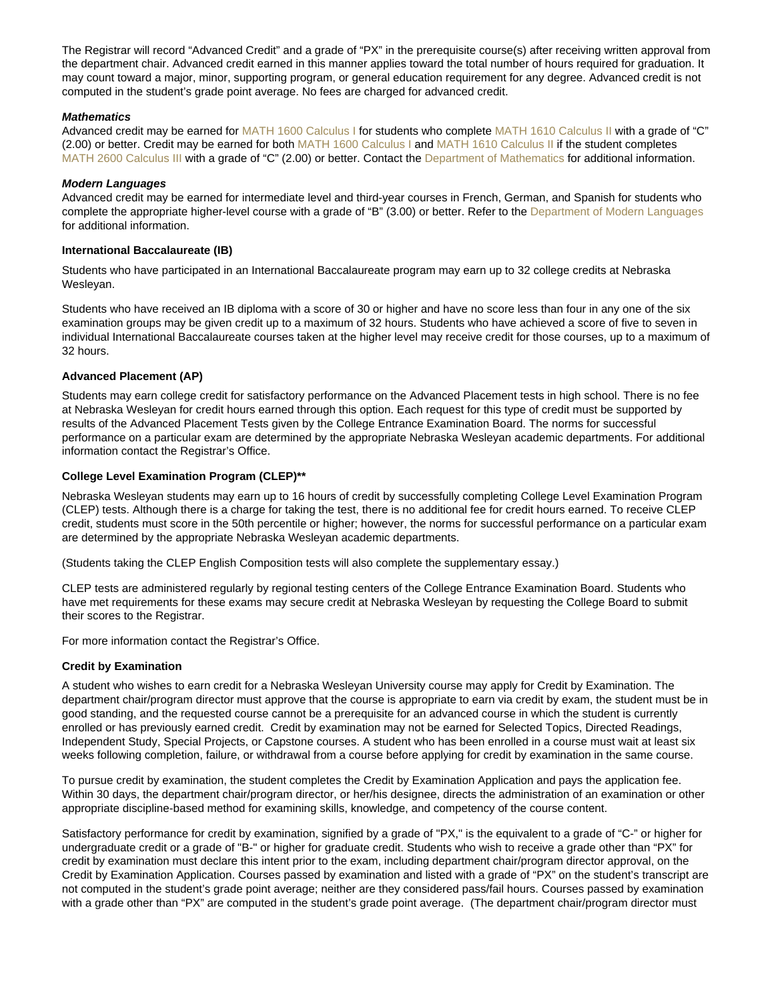The Registrar will record "Advanced Credit" and a grade of "PX" in the prerequisite course(s) after receiving written approval from the department chair. Advanced credit earned in this manner applies toward the total number of hours required for graduation. It may count toward a major, minor, supporting program, or general education requirement for any degree. Advanced credit is not computed in the student's grade point average. No fees are charged for advanced credit.

#### **Mathematics**

Advanced credit may be earned for [MATH 1600 Calculus I](https://catalog.nebrwesleyan.edu/cc/2021-2022/course/359785) for students who complete [MATH 1610 Calculus II](https://catalog.nebrwesleyan.edu/cc/2021-2022/course/359786) with a grade of "C" (2.00) or better. Credit may be earned for both [MATH 1600 Calculus I](https://catalog.nebrwesleyan.edu/cc/2021-2022/course/359785) and [MATH 1610 Calculus II](https://catalog.nebrwesleyan.edu/cc/2021-2022/course/359786) if the student completes [MATH 2600 Calculus III](https://catalog.nebrwesleyan.edu/cc/2021-2022/course/359788) with a grade of "C" (2.00) or better. Contact the [Department of Mathematics](https://catalog.nebrwesleyan.edu/cc/2021-2022/department/363156) for additional information.

#### Modern Languages

Advanced credit may be earned for intermediate level and third-year courses in French, German, and Spanish for students who complete the appropriate higher-level course with a grade of "B" (3.00) or better. Refer to the [Department of Modern Languages](https://catalog.nebrwesleyan.edu/cc/2021-2022/department/363157) for additional information.

#### International Baccalaureate (IB)

Students who have participated in an International Baccalaureate program may earn up to 32 college credits at Nebraska Wesleyan.

Students who have received an IB diploma with a score of 30 or higher and have no score less than four in any one of the six examination groups may be given credit up to a maximum of 32 hours. Students who have achieved a score of five to seven in individual International Baccalaureate courses taken at the higher level may receive credit for those courses, up to a maximum of 32 hours.

#### Advanced Placement (AP)

Students may earn college credit for satisfactory performance on the Advanced Placement tests in high school. There is no fee at Nebraska Wesleyan for credit hours earned through this option. Each request for this type of credit must be supported by results of the Advanced Placement Tests given by the College Entrance Examination Board. The norms for successful performance on a particular exam are determined by the appropriate Nebraska Wesleyan academic departments. For additional information contact the Registrar's Office.

#### College Level Examination Program (CLEP)\*\*

Nebraska Wesleyan students may earn up to 16 hours of credit by successfully completing College Level Examination Program (CLEP) tests. Although there is a charge for taking the test, there is no additional fee for credit hours earned. To receive CLEP credit, students must score in the 50th percentile or higher; however, the norms for successful performance on a particular exam are determined by the appropriate Nebraska Wesleyan academic departments.

(Students taking the CLEP English Composition tests will also complete the supplementary essay.)

CLEP tests are administered regularly by regional testing centers of the College Entrance Examination Board. Students who have met requirements for these exams may secure credit at Nebraska Wesleyan by requesting the College Board to submit their scores to the Registrar.

For more information contact the Registrar's Office.

#### Credit by Examination

A student who wishes to earn credit for a Nebraska Wesleyan University course may apply for Credit by Examination. The department chair/program director must approve that the course is appropriate to earn via credit by exam, the student must be in good standing, and the requested course cannot be a prerequisite for an advanced course in which the student is currently enrolled or has previously earned credit. Credit by examination may not be earned for Selected Topics, Directed Readings, Independent Study, Special Projects, or Capstone courses. A student who has been enrolled in a course must wait at least six weeks following completion, failure, or withdrawal from a course before applying for credit by examination in the same course.

To pursue credit by examination, the student completes the Credit by Examination Application and pays the application fee. Within 30 days, the department chair/program director, or her/his designee, directs the administration of an examination or other appropriate discipline-based method for examining skills, knowledge, and competency of the course content.

Satisfactory performance for credit by examination, signified by a grade of "PX," is the equivalent to a grade of "C-" or higher for undergraduate credit or a grade of "B-" or higher for graduate credit. Students who wish to receive a grade other than "PX" for credit by examination must declare this intent prior to the exam, including department chair/program director approval, on the Credit by Examination Application. Courses passed by examination and listed with a grade of "PX" on the student's transcript are not computed in the student's grade point average; neither are they considered pass/fail hours. Courses passed by examination with a grade other than "PX" are computed in the student's grade point average. (The department chair/program director must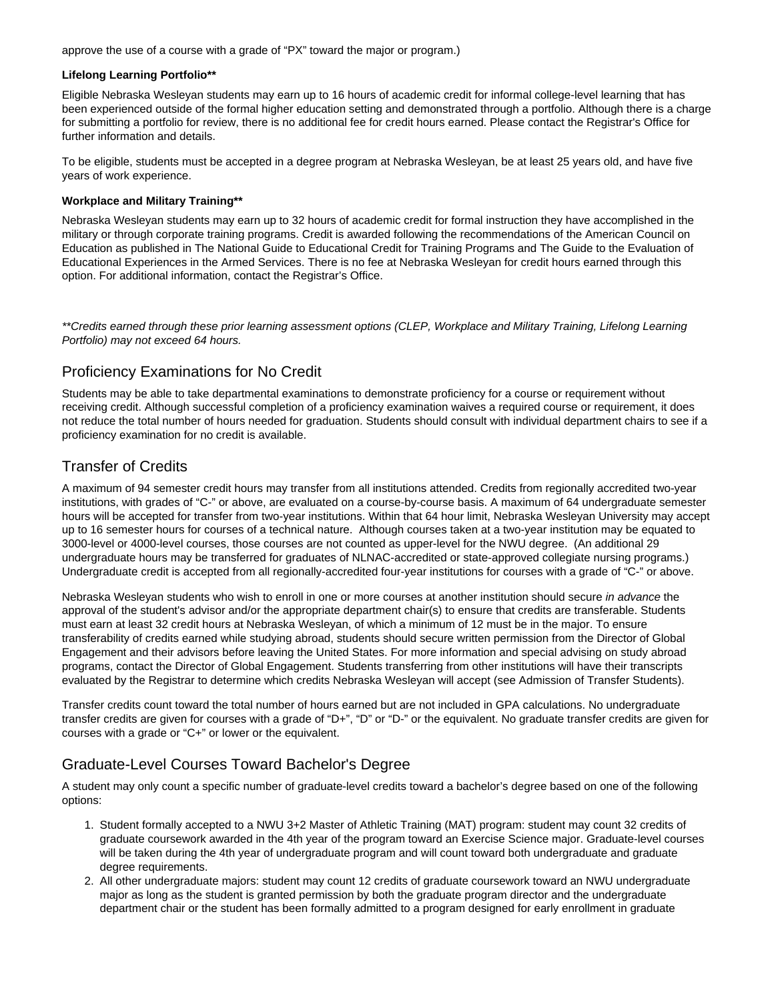approve the use of a course with a grade of "PX" toward the major or program.)

#### **Lifelong Learning Portfolio\*\***

Eligible Nebraska Wesleyan students may earn up to 16 hours of academic credit for informal college-level learning that has been experienced outside of the formal higher education setting and demonstrated through a portfolio. Although there is a charge for submitting a portfolio for review, there is no additional fee for credit hours earned. Please contact the Registrar's Office for further information and details.

To be eligible, students must be accepted in a degree program at Nebraska Wesleyan, be at least 25 years old, and have five years of work experience.

### **Workplace and Military Training\*\***

Nebraska Wesleyan students may earn up to 32 hours of academic credit for formal instruction they have accomplished in the military or through corporate training programs. Credit is awarded following the recommendations of the American Council on Education as published in The National Guide to Educational Credit for Training Programs and The Guide to the Evaluation of Educational Experiences in the Armed Services. There is no fee at Nebraska Wesleyan for credit hours earned through this option. For additional information, contact the Registrar's Office.

\*\*Credits earned through these prior learning assessment options (CLEP, Workplace and Military Training, Lifelong Learning Portfolio) may not exceed 64 hours.

### Proficiency Examinations for No Credit

Students may be able to take departmental examinations to demonstrate proficiency for a course or requirement without receiving credit. Although successful completion of a proficiency examination waives a required course or requirement, it does not reduce the total number of hours needed for graduation. Students should consult with individual department chairs to see if a proficiency examination for no credit is available.

### Transfer of Credits

A maximum of 94 semester credit hours may transfer from all institutions attended. Credits from regionally accredited two-year institutions, with grades of "C-" or above, are evaluated on a course-by-course basis. A maximum of 64 undergraduate semester hours will be accepted for transfer from two-year institutions. Within that 64 hour limit, Nebraska Wesleyan University may accept up to 16 semester hours for courses of a technical nature. Although courses taken at a two-year institution may be equated to 3000-level or 4000-level courses, those courses are not counted as upper-level for the NWU degree. (An additional 29 undergraduate hours may be transferred for graduates of NLNAC-accredited or state-approved collegiate nursing programs.) Undergraduate credit is accepted from all regionally-accredited four-year institutions for courses with a grade of "C-" or above.

Nebraska Wesleyan students who wish to enroll in one or more courses at another institution should secure in advance the approval of the student's advisor and/or the appropriate department chair(s) to ensure that credits are transferable. Students must earn at least 32 credit hours at Nebraska Wesleyan, of which a minimum of 12 must be in the major. To ensure transferability of credits earned while studying abroad, students should secure written permission from the Director of Global Engagement and their advisors before leaving the United States. For more information and special advising on study abroad programs, contact the Director of Global Engagement. Students transferring from other institutions will have their transcripts evaluated by the Registrar to determine which credits Nebraska Wesleyan will accept (see Admission of Transfer Students).

Transfer credits count toward the total number of hours earned but are not included in GPA calculations. No undergraduate transfer credits are given for courses with a grade of "D+", "D" or "D-" or the equivalent. No graduate transfer credits are given for courses with a grade or "C+" or lower or the equivalent.

# Graduate-Level Courses Toward Bachelor's Degree

A student may only count a specific number of graduate-level credits toward a bachelor's degree based on one of the following options:

- 1. Student formally accepted to a NWU 3+2 Master of Athletic Training (MAT) program: student may count 32 credits of graduate coursework awarded in the 4th year of the program toward an Exercise Science major. Graduate-level courses will be taken during the 4th year of undergraduate program and will count toward both undergraduate and graduate degree requirements.
- 2. All other undergraduate majors: student may count 12 credits of graduate coursework toward an NWU undergraduate major as long as the student is granted permission by both the graduate program director and the undergraduate department chair or the student has been formally admitted to a program designed for early enrollment in graduate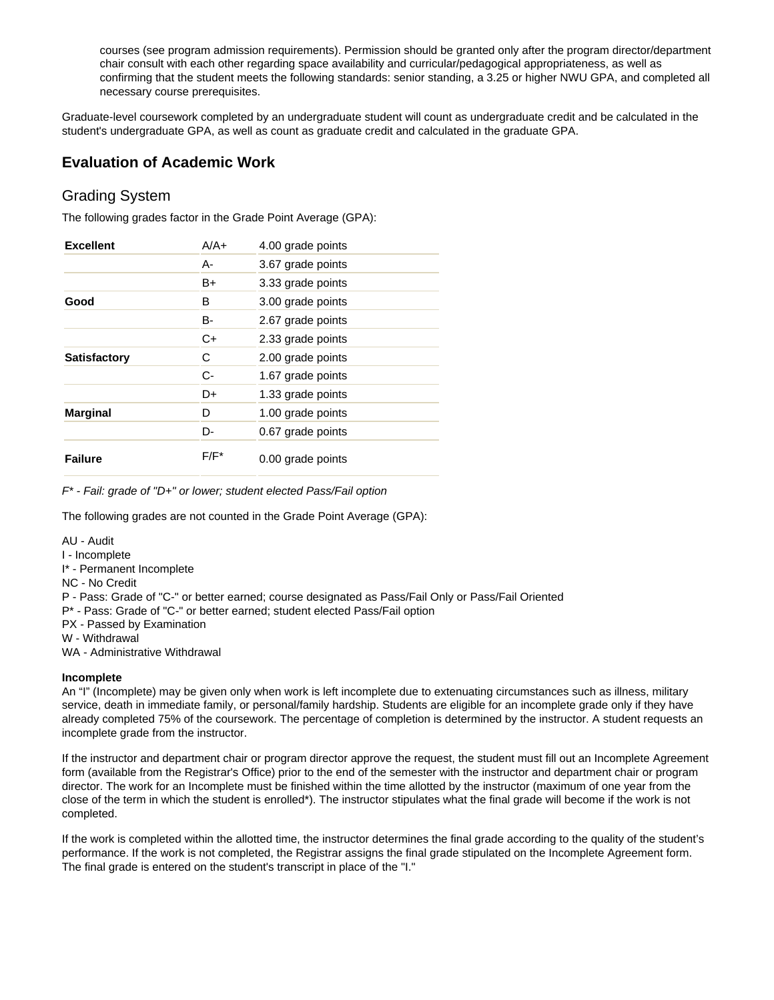courses (see program admission requirements). Permission should be granted only after the program director/department chair consult with each other regarding space availability and curricular/pedagogical appropriateness, as well as confirming that the student meets the following standards: senior standing, a 3.25 or higher NWU GPA, and completed all necessary course prerequisites.

Graduate-level coursework completed by an undergraduate student will count as undergraduate credit and be calculated in the student's undergraduate GPA, as well as count as graduate credit and calculated in the graduate GPA.

# **Evaluation of Academic Work**

### Grading System

The following grades factor in the Grade Point Average (GPA):

| <b>Excellent</b>    | $A/A+$  | 4.00 grade points |
|---------------------|---------|-------------------|
|                     | А-      | 3.67 grade points |
|                     | B+      | 3.33 grade points |
| Good                | в       | 3.00 grade points |
|                     | B-      | 2.67 grade points |
|                     | $C+$    | 2.33 grade points |
| <b>Satisfactory</b> | С       | 2.00 grade points |
|                     | $C-$    | 1.67 grade points |
|                     | D+      | 1.33 grade points |
| <b>Marginal</b>     | D       | 1.00 grade points |
|                     | D-      | 0.67 grade points |
| <b>Failure</b>      | $F/F^*$ | 0.00 grade points |

F\* - Fail: grade of "D+" or lower; student elected Pass/Fail option

The following grades are not counted in the Grade Point Average (GPA):

AU - Audit

I - Incomplete

I\* - Permanent Incomplete

NC - No Credit

P - Pass: Grade of "C-" or better earned; course designated as Pass/Fail Only or Pass/Fail Oriented

P\* - Pass: Grade of "C-" or better earned; student elected Pass/Fail option

PX - Passed by Examination

W - Withdrawal

WA - Administrative Withdrawal

#### **Incomplete**

An "I" (Incomplete) may be given only when work is left incomplete due to extenuating circumstances such as illness, military service, death in immediate family, or personal/family hardship. Students are eligible for an incomplete grade only if they have already completed 75% of the coursework. The percentage of completion is determined by the instructor. A student requests an incomplete grade from the instructor.

If the instructor and department chair or program director approve the request, the student must fill out an Incomplete Agreement form (available from the Registrar's Office) prior to the end of the semester with the instructor and department chair or program director. The work for an Incomplete must be finished within the time allotted by the instructor (maximum of one year from the close of the term in which the student is enrolled\*). The instructor stipulates what the final grade will become if the work is not completed.

If the work is completed within the allotted time, the instructor determines the final grade according to the quality of the student's performance. If the work is not completed, the Registrar assigns the final grade stipulated on the Incomplete Agreement form. The final grade is entered on the student's transcript in place of the "I."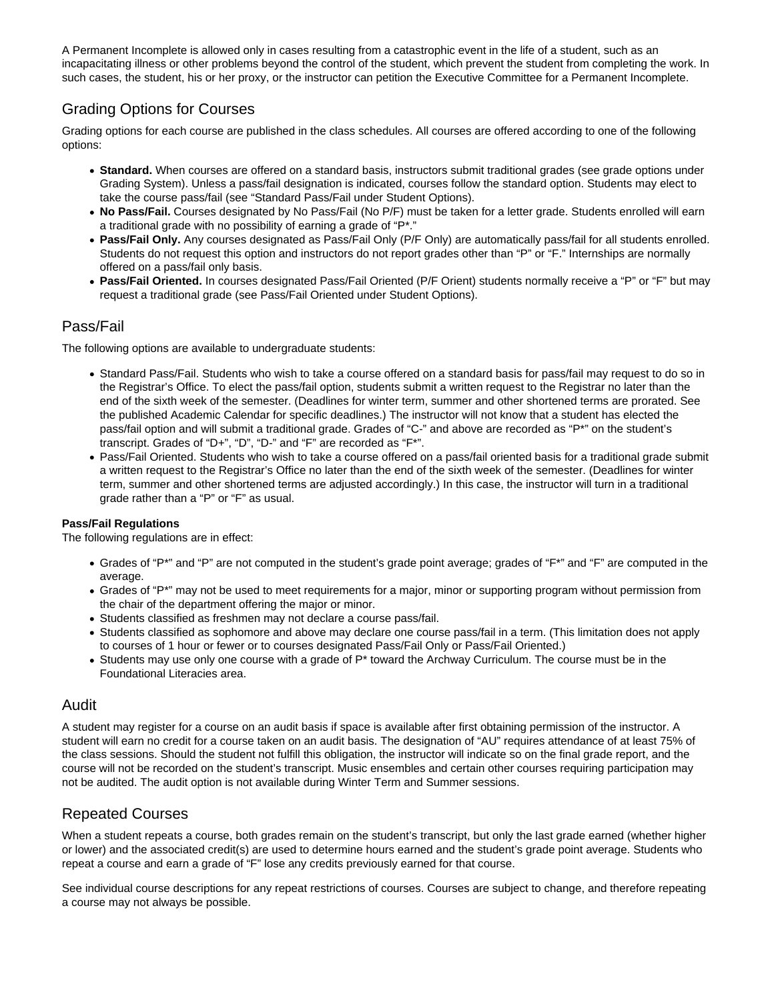A Permanent Incomplete is allowed only in cases resulting from a catastrophic event in the life of a student, such as an incapacitating illness or other problems beyond the control of the student, which prevent the student from completing the work. In such cases, the student, his or her proxy, or the instructor can petition the Executive Committee for a Permanent Incomplete.

# Grading Options for Courses

Grading options for each course are published in the class schedules. All courses are offered according to one of the following options:

- **Standard.** When courses are offered on a standard basis, instructors submit traditional grades (see grade options under Grading System). Unless a pass/fail designation is indicated, courses follow the standard option. Students may elect to take the course pass/fail (see "Standard Pass/Fail under Student Options).
- **No Pass/Fail.** Courses designated by No Pass/Fail (No P/F) must be taken for a letter grade. Students enrolled will earn a traditional grade with no possibility of earning a grade of "P\*."
- **Pass/Fail Only.** Any courses designated as Pass/Fail Only (P/F Only) are automatically pass/fail for all students enrolled. Students do not request this option and instructors do not report grades other than "P" or "F." Internships are normally offered on a pass/fail only basis.
- **Pass/Fail Oriented.** In courses designated Pass/Fail Oriented (P/F Orient) students normally receive a "P" or "F" but may request a traditional grade (see Pass/Fail Oriented under Student Options).

### Pass/Fail

The following options are available to undergraduate students:

- Standard Pass/Fail. Students who wish to take a course offered on a standard basis for pass/fail may request to do so in the Registrar's Office. To elect the pass/fail option, students submit a written request to the Registrar no later than the end of the sixth week of the semester. (Deadlines for winter term, summer and other shortened terms are prorated. See the published Academic Calendar for specific deadlines.) The instructor will not know that a student has elected the pass/fail option and will submit a traditional grade. Grades of "C-" and above are recorded as "P\*" on the student's transcript. Grades of "D+", "D", "D-" and "F" are recorded as "F\*".
- Pass/Fail Oriented. Students who wish to take a course offered on a pass/fail oriented basis for a traditional grade submit a written request to the Registrar's Office no later than the end of the sixth week of the semester. (Deadlines for winter term, summer and other shortened terms are adjusted accordingly.) In this case, the instructor will turn in a traditional grade rather than a "P" or "F" as usual.

### **Pass/Fail Regulations**

The following regulations are in effect:

- Grades of "P\*" and "P" are not computed in the student's grade point average; grades of "F\*" and "F" are computed in the average.
- Grades of "P\*" may not be used to meet requirements for a major, minor or supporting program without permission from the chair of the department offering the major or minor.
- Students classified as freshmen may not declare a course pass/fail.
- Students classified as sophomore and above may declare one course pass/fail in a term. (This limitation does not apply to courses of 1 hour or fewer or to courses designated Pass/Fail Only or Pass/Fail Oriented.)
- $\bullet$  Students may use only one course with a grade of  $P^*$  toward the Archway Curriculum. The course must be in the Foundational Literacies area.

### Audit

A student may register for a course on an audit basis if space is available after first obtaining permission of the instructor. A student will earn no credit for a course taken on an audit basis. The designation of "AU" requires attendance of at least 75% of the class sessions. Should the student not fulfill this obligation, the instructor will indicate so on the final grade report, and the course will not be recorded on the student's transcript. Music ensembles and certain other courses requiring participation may not be audited. The audit option is not available during Winter Term and Summer sessions.

### Repeated Courses

When a student repeats a course, both grades remain on the student's transcript, but only the last grade earned (whether higher or lower) and the associated credit(s) are used to determine hours earned and the student's grade point average. Students who repeat a course and earn a grade of "F" lose any credits previously earned for that course.

See individual course descriptions for any repeat restrictions of courses. Courses are subject to change, and therefore repeating a course may not always be possible.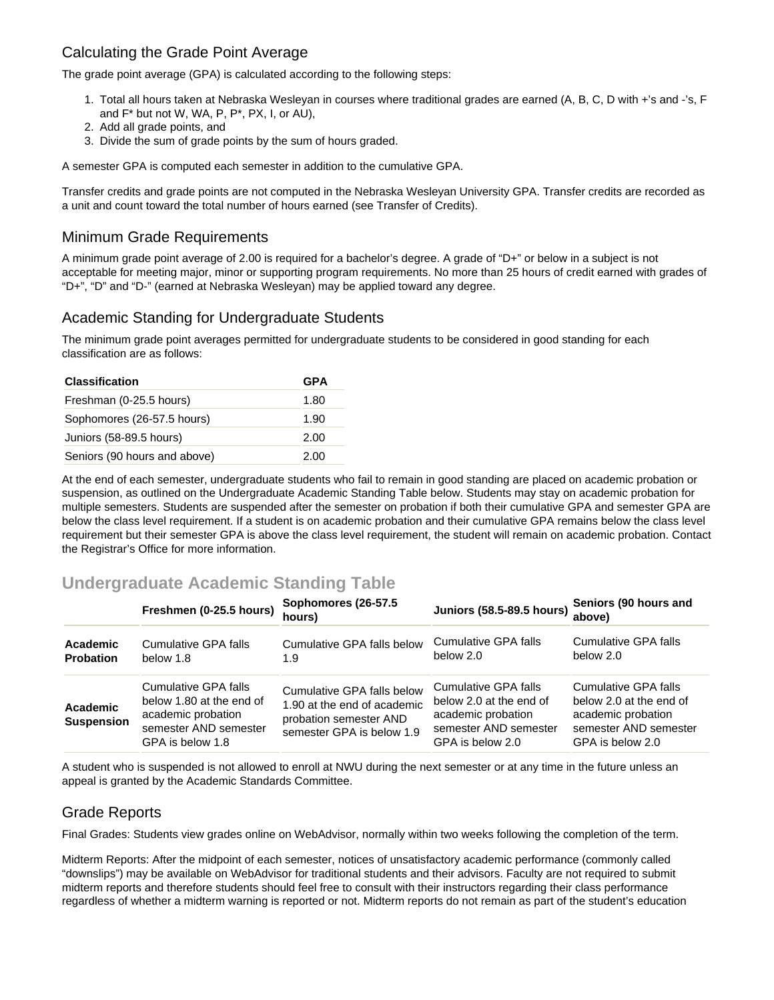# Calculating the Grade Point Average

The grade point average (GPA) is calculated according to the following steps:

- 1. Total all hours taken at Nebraska Wesleyan in courses where traditional grades are earned (A, B, C, D with +'s and -'s, F and F\* but not W, WA, P, P\*, PX, I, or AU),
- 2. Add all grade points, and
- 3. Divide the sum of grade points by the sum of hours graded.

A semester GPA is computed each semester in addition to the cumulative GPA.

Transfer credits and grade points are not computed in the Nebraska Wesleyan University GPA. Transfer credits are recorded as a unit and count toward the total number of hours earned (see Transfer of Credits).

# Minimum Grade Requirements

A minimum grade point average of 2.00 is required for a bachelor's degree. A grade of "D+" or below in a subject is not acceptable for meeting major, minor or supporting program requirements. No more than 25 hours of credit earned with grades of "D+", "D" and "D-" (earned at Nebraska Wesleyan) may be applied toward any degree.

# Academic Standing for Undergraduate Students

The minimum grade point averages permitted for undergraduate students to be considered in good standing for each classification are as follows:

| <b>Classification</b>        | <b>GPA</b> |  |
|------------------------------|------------|--|
| Freshman (0-25.5 hours)      | 1.80       |  |
| Sophomores (26-57.5 hours)   | 1.90       |  |
| Juniors (58-89.5 hours)      | 2.00       |  |
| Seniors (90 hours and above) | 2.00       |  |

At the end of each semester, undergraduate students who fail to remain in good standing are placed on academic probation or suspension, as outlined on the Undergraduate Academic Standing Table below. Students may stay on academic probation for multiple semesters. Students are suspended after the semester on probation if both their cumulative GPA and semester GPA are below the class level requirement. If a student is on academic probation and their cumulative GPA remains below the class level requirement but their semester GPA is above the class level requirement, the student will remain on academic probation. Contact the Registrar's Office for more information.

# **Undergraduate Academic Standing Table**

|                               | Freshmen (0-25.5 hours)                                                                                             | Sophomores (26-57.5)<br>hours)                                                                                   | <b>Juniors (58.5-89.5 hours)</b>                                                                                   | Seniors (90 hours and<br>above)                                                                                    |
|-------------------------------|---------------------------------------------------------------------------------------------------------------------|------------------------------------------------------------------------------------------------------------------|--------------------------------------------------------------------------------------------------------------------|--------------------------------------------------------------------------------------------------------------------|
| Academic<br><b>Probation</b>  | Cumulative GPA falls<br>below 1.8                                                                                   | Cumulative GPA falls below<br>1.9                                                                                | Cumulative GPA falls<br>below 2.0                                                                                  | Cumulative GPA falls<br>below 2.0                                                                                  |
| Academic<br><b>Suspension</b> | Cumulative GPA falls<br>below 1.80 at the end of<br>academic probation<br>semester AND semester<br>GPA is below 1.8 | Cumulative GPA falls below<br>1.90 at the end of academic<br>probation semester AND<br>semester GPA is below 1.9 | Cumulative GPA falls<br>below 2.0 at the end of<br>academic probation<br>semester AND semester<br>GPA is below 2.0 | Cumulative GPA falls<br>below 2.0 at the end of<br>academic probation<br>semester AND semester<br>GPA is below 2.0 |

A student who is suspended is not allowed to enroll at NWU during the next semester or at any time in the future unless an appeal is granted by the Academic Standards Committee.

# Grade Reports

Final Grades: Students view grades online on WebAdvisor, normally within two weeks following the completion of the term.

Midterm Reports: After the midpoint of each semester, notices of unsatisfactory academic performance (commonly called "downslips") may be available on WebAdvisor for traditional students and their advisors. Faculty are not required to submit midterm reports and therefore students should feel free to consult with their instructors regarding their class performance regardless of whether a midterm warning is reported or not. Midterm reports do not remain as part of the student's education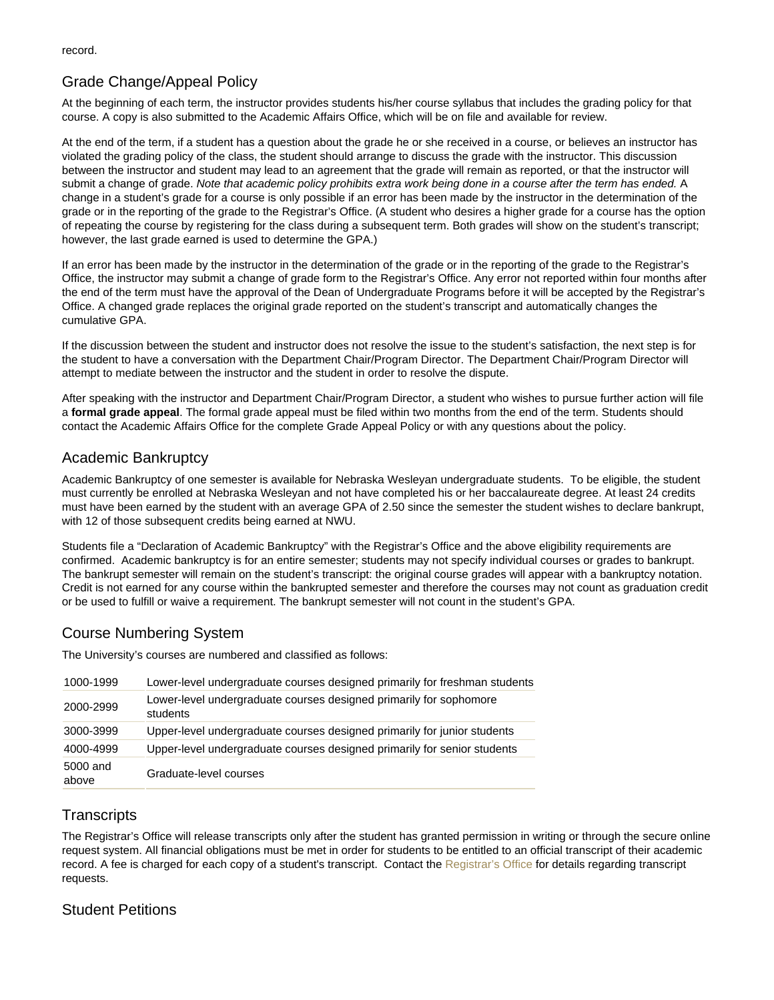# Grade Change/Appeal Policy

At the beginning of each term, the instructor provides students his/her course syllabus that includes the grading policy for that course. A copy is also submitted to the Academic Affairs Office, which will be on file and available for review.

At the end of the term, if a student has a question about the grade he or she received in a course, or believes an instructor has violated the grading policy of the class, the student should arrange to discuss the grade with the instructor. This discussion between the instructor and student may lead to an agreement that the grade will remain as reported, or that the instructor will submit a change of grade. Note that academic policy prohibits extra work being done in a course after the term has ended. A change in a student's grade for a course is only possible if an error has been made by the instructor in the determination of the grade or in the reporting of the grade to the Registrar's Office. (A student who desires a higher grade for a course has the option of repeating the course by registering for the class during a subsequent term. Both grades will show on the student's transcript; however, the last grade earned is used to determine the GPA.)

If an error has been made by the instructor in the determination of the grade or in the reporting of the grade to the Registrar's Office, the instructor may submit a change of grade form to the Registrar's Office. Any error not reported within four months after the end of the term must have the approval of the Dean of Undergraduate Programs before it will be accepted by the Registrar's Office. A changed grade replaces the original grade reported on the student's transcript and automatically changes the cumulative GPA.

If the discussion between the student and instructor does not resolve the issue to the student's satisfaction, the next step is for the student to have a conversation with the Department Chair/Program Director. The Department Chair/Program Director will attempt to mediate between the instructor and the student in order to resolve the dispute.

After speaking with the instructor and Department Chair/Program Director, a student who wishes to pursue further action will file a formal grade appeal . The formal grade appeal must be filed within two months from the end of the term. Students should contact the Academic Affairs Office for the complete Grade Appeal Policy or with any questions about the policy.

# Academic Bankruptcy

Academic Bankruptcy of one semester is available for Nebraska Wesleyan undergraduate students. To be eligible, the student must currently be enrolled at Nebraska Wesleyan and not have completed his or her baccalaureate degree. At least 24 credits must have been earned by the student with an average GPA of 2.50 since the semester the student wishes to declare bankrupt, with 12 of those subsequent credits being earned at NWU.

Students file a "Declaration of Academic Bankruptcy" with the Registrar's Office and the above eligibility requirements are confirmed. Academic bankruptcy is for an entire semester; students may not specify individual courses or grades to bankrupt. The bankrupt semester will remain on the student's transcript: the original course grades will appear with a bankruptcy notation. Credit is not earned for any course within the bankrupted semester and therefore the courses may not count as graduation credit or be used to fulfill or waive a requirement. The bankrupt semester will not count in the student's GPA.

# Course Numbering System

The University's courses are numbered and classified as follows:

| 1000-1999         | Lower-level undergraduate courses designed primarily for freshman students     |
|-------------------|--------------------------------------------------------------------------------|
| 2000-2999         | Lower-level undergraduate courses designed primarily for sophomore<br>students |
| 3000-3999         | Upper-level undergraduate courses designed primarily for junior students       |
| 4000-4999         | Upper-level undergraduate courses designed primarily for senior students       |
| 5000 and<br>above | Graduate-level courses                                                         |

# **Transcripts**

The Registrar's Office will release transcripts only after the student has granted permission in writing or through the secure online request system. All financial obligations must be met in order for students to be entitled to an official transcript of their academic record. A fee is charged for each copy of a student's transcript. Contact the [Registrar's Office](https://www.nebrwesleyan.edu/inside-nwu/registrars-office/order-transcripts) for details regarding transcript requests.

# Student Petitions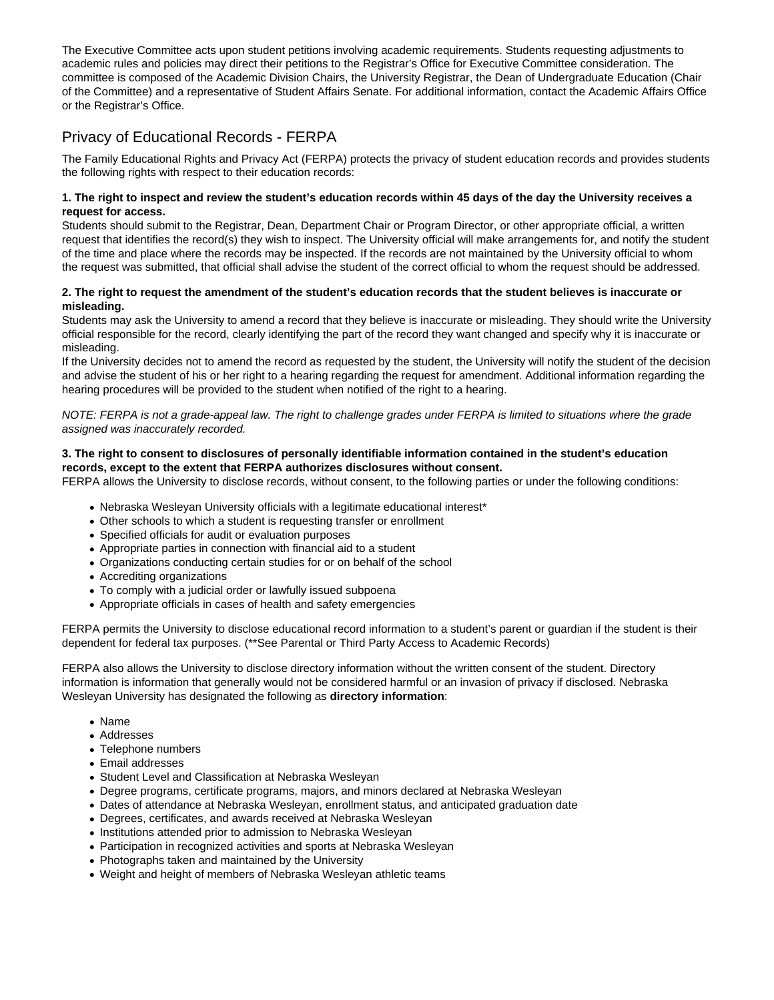The Executive Committee acts upon student petitions involving academic requirements. Students requesting adjustments to academic rules and policies may direct their petitions to the Registrar's Office for Executive Committee consideration. The committee is composed of the Academic Division Chairs, the University Registrar, the Dean of Undergraduate Education (Chair of the Committee) and a representative of Student Affairs Senate. For additional information, contact the Academic Affairs Office or the Registrar's Office.

# Privacy of Educational Records - FERPA

The Family Educational Rights and Privacy Act (FERPA) protects the privacy of student education records and provides students the following rights with respect to their education records:

#### **1. The right to inspect and review the student's education records within 45 days of the day the University receives a request for access.**

Students should submit to the Registrar, Dean, Department Chair or Program Director, or other appropriate official, a written request that identifies the record(s) they wish to inspect. The University official will make arrangements for, and notify the student of the time and place where the records may be inspected. If the records are not maintained by the University official to whom the request was submitted, that official shall advise the student of the correct official to whom the request should be addressed.

#### **2. The right to request the amendment of the student's education records that the student believes is inaccurate or misleading.**

Students may ask the University to amend a record that they believe is inaccurate or misleading. They should write the University official responsible for the record, clearly identifying the part of the record they want changed and specify why it is inaccurate or misleading.

If the University decides not to amend the record as requested by the student, the University will notify the student of the decision and advise the student of his or her right to a hearing regarding the request for amendment. Additional information regarding the hearing procedures will be provided to the student when notified of the right to a hearing.

NOTE: FERPA is not a grade-appeal law. The right to challenge grades under FERPA is limited to situations where the grade assigned was inaccurately recorded.

#### **3. The right to consent to disclosures of personally identifiable information contained in the student's education records, except to the extent that FERPA authorizes disclosures without consent.**

FERPA allows the University to disclose records, without consent, to the following parties or under the following conditions:

- Nebraska Wesleyan University officials with a legitimate educational interest\*
- Other schools to which a student is requesting transfer or enrollment
- Specified officials for audit or evaluation purposes
- Appropriate parties in connection with financial aid to a student
- Organizations conducting certain studies for or on behalf of the school
- Accrediting organizations
- To comply with a judicial order or lawfully issued subpoena
- Appropriate officials in cases of health and safety emergencies

FERPA permits the University to disclose educational record information to a student's parent or guardian if the student is their dependent for federal tax purposes. (\*\*See Parental or Third Party Access to Academic Records)

FERPA also allows the University to disclose directory information without the written consent of the student. Directory information is information that generally would not be considered harmful or an invasion of privacy if disclosed. Nebraska Wesleyan University has designated the following as **directory information**:

- Name
- Addresses
- Telephone numbers
- Email addresses
- Student Level and Classification at Nebraska Wesleyan
- Degree programs, certificate programs, majors, and minors declared at Nebraska Wesleyan
- Dates of attendance at Nebraska Wesleyan, enrollment status, and anticipated graduation date
- Degrees, certificates, and awards received at Nebraska Wesleyan
- Institutions attended prior to admission to Nebraska Wesleyan
- Participation in recognized activities and sports at Nebraska Wesleyan
- Photographs taken and maintained by the University
- Weight and height of members of Nebraska Wesleyan athletic teams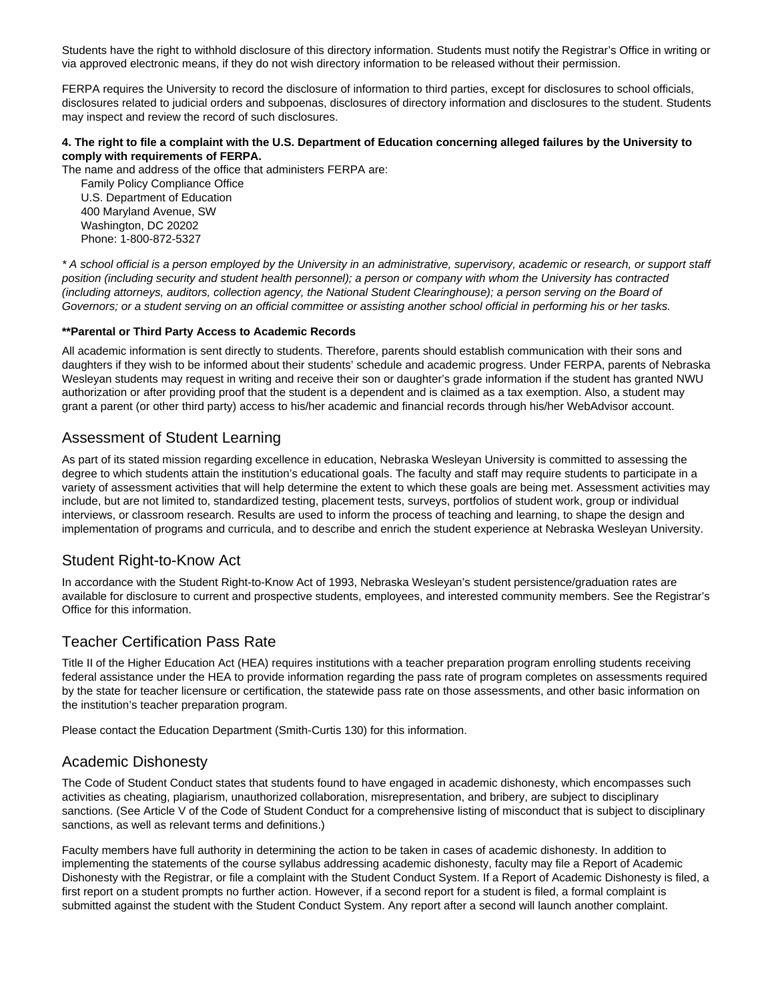Students have the right to withhold disclosure of this directory information. Students must notify the Registrar's Office in writing or via approved electronic means, if they do not wish directory information to be released without their permission.

FERPA requires the University to record the disclosure of information to third parties, except for disclosures to school officials, disclosures related to judicial orders and subpoenas, disclosures of directory information and disclosures to the student. Students may inspect and review the record of such disclosures.

### **4. The right to file a complaint with the U.S. Department of Education concerning alleged failures by the University to comply with requirements of FERPA.**

The name and address of the office that administers FERPA are:

 Family Policy Compliance Office U.S. Department of Education 400 Maryland Avenue, SW Washington, DC 20202 Phone: 1-800-872-5327

\* A school official is a person employed by the University in an administrative, supervisory, academic or research, or support staff position (including security and student health personnel); a person or company with whom the University has contracted (including attorneys, auditors, collection agency, the National Student Clearinghouse); a person serving on the Board of Governors; or a student serving on an official committee or assisting another school official in performing his or her tasks.

### **\*\*Parental or Third Party Access to Academic Records**

All academic information is sent directly to students. Therefore, parents should establish communication with their sons and daughters if they wish to be informed about their students' schedule and academic progress. Under FERPA, parents of Nebraska Wesleyan students may request in writing and receive their son or daughter's grade information if the student has granted NWU authorization or after providing proof that the student is a dependent and is claimed as a tax exemption. Also, a student may grant a parent (or other third party) access to his/her academic and financial records through his/her WebAdvisor account.

### Assessment of Student Learning

As part of its stated mission regarding excellence in education, Nebraska Wesleyan University is committed to assessing the degree to which students attain the institution's educational goals. The faculty and staff may require students to participate in a variety of assessment activities that will help determine the extent to which these goals are being met. Assessment activities may include, but are not limited to, standardized testing, placement tests, surveys, portfolios of student work, group or individual interviews, or classroom research. Results are used to inform the process of teaching and learning, to shape the design and implementation of programs and curricula, and to describe and enrich the student experience at Nebraska Wesleyan University.

# Student Right-to-Know Act

In accordance with the Student Right-to-Know Act of 1993, Nebraska Wesleyan's student persistence/graduation rates are available for disclosure to current and prospective students, employees, and interested community members. See the Registrar's Office for this information.

# Teacher Certification Pass Rate

Title II of the Higher Education Act (HEA) requires institutions with a teacher preparation program enrolling students receiving federal assistance under the HEA to provide information regarding the pass rate of program completes on assessments required by the state for teacher licensure or certification, the statewide pass rate on those assessments, and other basic information on the institution's teacher preparation program.

Please contact the Education Department (Smith-Curtis 130) for this information.

### Academic Dishonesty

The Code of Student Conduct states that students found to have engaged in academic dishonesty, which encompasses such activities as cheating, plagiarism, unauthorized collaboration, misrepresentation, and bribery, are subject to disciplinary sanctions. (See Article V of the Code of Student Conduct for a comprehensive listing of misconduct that is subject to disciplinary sanctions, as well as relevant terms and definitions.)

Faculty members have full authority in determining the action to be taken in cases of academic dishonesty. In addition to implementing the statements of the course syllabus addressing academic dishonesty, faculty may file a Report of Academic Dishonesty with the Registrar, or file a complaint with the Student Conduct System. If a Report of Academic Dishonesty is filed, a first report on a student prompts no further action. However, if a second report for a student is filed, a formal complaint is submitted against the student with the Student Conduct System. Any report after a second will launch another complaint.